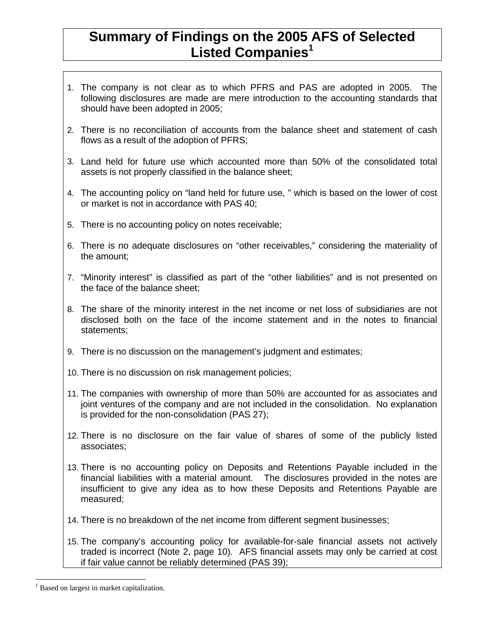## **Summary of Findings on the 2005 AFS of Selected Listed Companies<sup>1</sup>**

- 1. The company is not clear as to which PFRS and PAS are adopted in 2005. The following disclosures are made are mere introduction to the accounting standards that should have been adopted in 2005;
- 2. There is no reconciliation of accounts from the balance sheet and statement of cash flows as a result of the adoption of PFRS;
- 3. Land held for future use which accounted more than 50% of the consolidated total assets is not properly classified in the balance sheet;
- 4. The accounting policy on "land held for future use, " which is based on the lower of cost or market is not in accordance with PAS 40;
- 5. There is no accounting policy on notes receivable;
- 6. There is no adequate disclosures on "other receivables," considering the materiality of the amount;
- 7. "Minority interest" is classified as part of the "other liabilities" and is not presented on the face of the balance sheet;
- 8. The share of the minority interest in the net income or net loss of subsidiaries are not disclosed both on the face of the income statement and in the notes to financial statements;
- 9. There is no discussion on the management's judgment and estimates;
- 10. There is no discussion on risk management policies;
- 11. The companies with ownership of more than 50% are accounted for as associates and joint ventures of the company and are not included in the consolidation. No explanation is provided for the non-consolidation (PAS 27);
- 12. There is no disclosure on the fair value of shares of some of the publicly listed associates;
- 13. There is no accounting policy on Deposits and Retentions Payable included in the financial liabilities with a material amount. The disclosures provided in the notes are insufficient to give any idea as to how these Deposits and Retentions Payable are measured;
- 14. There is no breakdown of the net income from different segment businesses;
- 15. The company's accounting policy for available-for-sale financial assets not actively traded is incorrect (Note 2, page 10). AFS financial assets may only be carried at cost if fair value cannot be reliably determined (PAS 39);

<sup>-</sup><sup>1</sup> Based on largest in market capitalization.